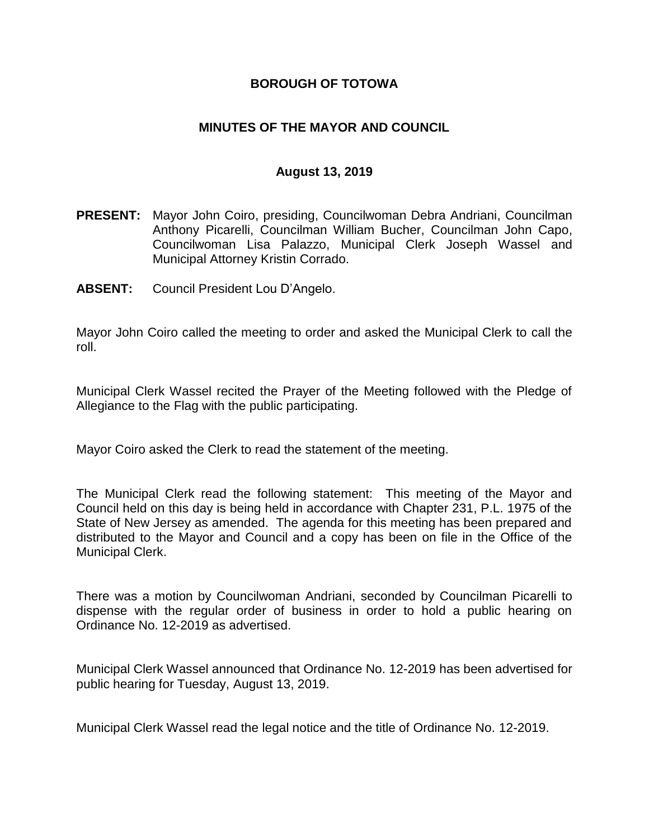### **BOROUGH OF TOTOWA**

## **MINUTES OF THE MAYOR AND COUNCIL**

#### **August 13, 2019**

- **PRESENT:** Mayor John Coiro, presiding, Councilwoman Debra Andriani, Councilman Anthony Picarelli, Councilman William Bucher, Councilman John Capo, Councilwoman Lisa Palazzo, Municipal Clerk Joseph Wassel and Municipal Attorney Kristin Corrado.
- **ABSENT:** Council President Lou D'Angelo.

Mayor John Coiro called the meeting to order and asked the Municipal Clerk to call the roll.

Municipal Clerk Wassel recited the Prayer of the Meeting followed with the Pledge of Allegiance to the Flag with the public participating.

Mayor Coiro asked the Clerk to read the statement of the meeting.

The Municipal Clerk read the following statement: This meeting of the Mayor and Council held on this day is being held in accordance with Chapter 231, P.L. 1975 of the State of New Jersey as amended. The agenda for this meeting has been prepared and distributed to the Mayor and Council and a copy has been on file in the Office of the Municipal Clerk.

There was a motion by Councilwoman Andriani, seconded by Councilman Picarelli to dispense with the regular order of business in order to hold a public hearing on Ordinance No. 12-2019 as advertised.

Municipal Clerk Wassel announced that Ordinance No. 12-2019 has been advertised for public hearing for Tuesday, August 13, 2019.

Municipal Clerk Wassel read the legal notice and the title of Ordinance No. 12-2019.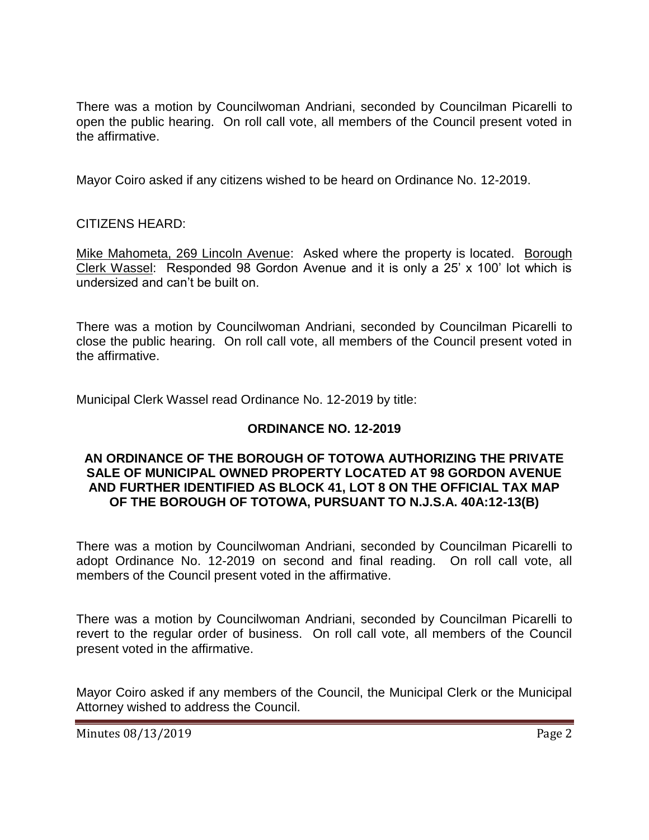There was a motion by Councilwoman Andriani, seconded by Councilman Picarelli to open the public hearing. On roll call vote, all members of the Council present voted in the affirmative.

Mayor Coiro asked if any citizens wished to be heard on Ordinance No. 12-2019.

CITIZENS HEARD:

Mike Mahometa, 269 Lincoln Avenue: Asked where the property is located. Borough Clerk Wassel: Responded 98 Gordon Avenue and it is only a 25' x 100' lot which is undersized and can't be built on.

There was a motion by Councilwoman Andriani, seconded by Councilman Picarelli to close the public hearing. On roll call vote, all members of the Council present voted in the affirmative.

Municipal Clerk Wassel read Ordinance No. 12-2019 by title:

# **ORDINANCE NO. 12-2019**

#### **AN ORDINANCE OF THE BOROUGH OF TOTOWA AUTHORIZING THE PRIVATE SALE OF MUNICIPAL OWNED PROPERTY LOCATED AT 98 GORDON AVENUE AND FURTHER IDENTIFIED AS BLOCK 41, LOT 8 ON THE OFFICIAL TAX MAP OF THE BOROUGH OF TOTOWA, PURSUANT TO N.J.S.A. 40A:12-13(B)**

There was a motion by Councilwoman Andriani, seconded by Councilman Picarelli to adopt Ordinance No. 12-2019 on second and final reading. On roll call vote, all members of the Council present voted in the affirmative.

There was a motion by Councilwoman Andriani, seconded by Councilman Picarelli to revert to the regular order of business. On roll call vote, all members of the Council present voted in the affirmative.

Mayor Coiro asked if any members of the Council, the Municipal Clerk or the Municipal Attorney wished to address the Council.

Minutes 08/13/2019 **Page 2**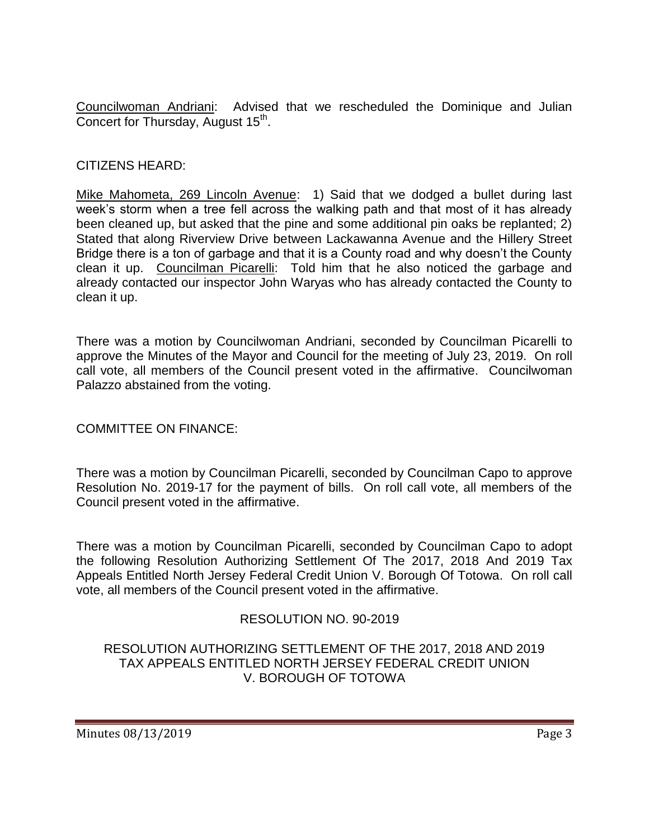Councilwoman Andriani: Advised that we rescheduled the Dominique and Julian Concert for Thursday, August 15<sup>th</sup>.

### CITIZENS HEARD:

Mike Mahometa, 269 Lincoln Avenue: 1) Said that we dodged a bullet during last week's storm when a tree fell across the walking path and that most of it has already been cleaned up, but asked that the pine and some additional pin oaks be replanted; 2) Stated that along Riverview Drive between Lackawanna Avenue and the Hillery Street Bridge there is a ton of garbage and that it is a County road and why doesn't the County clean it up. Councilman Picarelli: Told him that he also noticed the garbage and already contacted our inspector John Waryas who has already contacted the County to clean it up.

There was a motion by Councilwoman Andriani, seconded by Councilman Picarelli to approve the Minutes of the Mayor and Council for the meeting of July 23, 2019. On roll call vote, all members of the Council present voted in the affirmative. Councilwoman Palazzo abstained from the voting.

# COMMITTEE ON FINANCE:

There was a motion by Councilman Picarelli, seconded by Councilman Capo to approve Resolution No. 2019-17 for the payment of bills. On roll call vote, all members of the Council present voted in the affirmative.

There was a motion by Councilman Picarelli, seconded by Councilman Capo to adopt the following Resolution Authorizing Settlement Of The 2017, 2018 And 2019 Tax Appeals Entitled North Jersey Federal Credit Union V. Borough Of Totowa. On roll call vote, all members of the Council present voted in the affirmative.

# RESOLUTION NO. 90-2019

### RESOLUTION AUTHORIZING SETTLEMENT OF THE 2017, 2018 AND 2019 TAX APPEALS ENTITLED NORTH JERSEY FEDERAL CREDIT UNION V. BOROUGH OF TOTOWA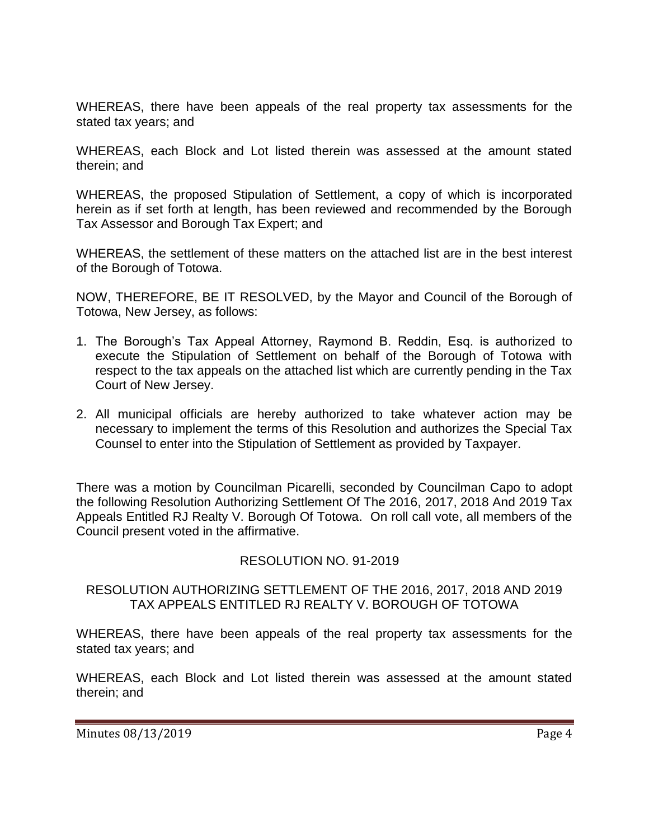WHEREAS, there have been appeals of the real property tax assessments for the stated tax years; and

WHEREAS, each Block and Lot listed therein was assessed at the amount stated therein; and

WHEREAS, the proposed Stipulation of Settlement, a copy of which is incorporated herein as if set forth at length, has been reviewed and recommended by the Borough Tax Assessor and Borough Tax Expert; and

WHEREAS, the settlement of these matters on the attached list are in the best interest of the Borough of Totowa.

NOW, THEREFORE, BE IT RESOLVED, by the Mayor and Council of the Borough of Totowa, New Jersey, as follows:

- 1. The Borough's Tax Appeal Attorney, Raymond B. Reddin, Esq. is authorized to execute the Stipulation of Settlement on behalf of the Borough of Totowa with respect to the tax appeals on the attached list which are currently pending in the Tax Court of New Jersey.
- 2. All municipal officials are hereby authorized to take whatever action may be necessary to implement the terms of this Resolution and authorizes the Special Tax Counsel to enter into the Stipulation of Settlement as provided by Taxpayer.

There was a motion by Councilman Picarelli, seconded by Councilman Capo to adopt the following Resolution Authorizing Settlement Of The 2016, 2017, 2018 And 2019 Tax Appeals Entitled RJ Realty V. Borough Of Totowa. On roll call vote, all members of the Council present voted in the affirmative.

# RESOLUTION NO. 91-2019

### RESOLUTION AUTHORIZING SETTLEMENT OF THE 2016, 2017, 2018 AND 2019 TAX APPEALS ENTITLED RJ REALTY V. BOROUGH OF TOTOWA

WHEREAS, there have been appeals of the real property tax assessments for the stated tax years; and

WHEREAS, each Block and Lot listed therein was assessed at the amount stated therein; and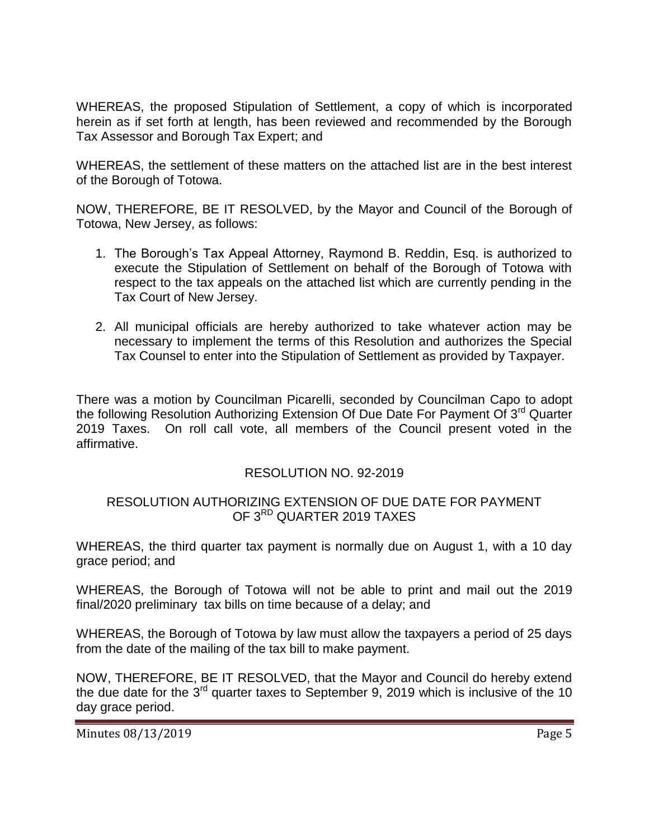WHEREAS, the proposed Stipulation of Settlement, a copy of which is incorporated herein as if set forth at length, has been reviewed and recommended by the Borough Tax Assessor and Borough Tax Expert; and

WHEREAS, the settlement of these matters on the attached list are in the best interest of the Borough of Totowa.

NOW, THEREFORE, BE IT RESOLVED, by the Mayor and Council of the Borough of Totowa, New Jersey, as follows:

- 1. The Borough's Tax Appeal Attorney, Raymond B. Reddin, Esq. is authorized to execute the Stipulation of Settlement on behalf of the Borough of Totowa with respect to the tax appeals on the attached list which are currently pending in the Tax Court of New Jersey.
- 2. All municipal officials are hereby authorized to take whatever action may be necessary to implement the terms of this Resolution and authorizes the Special Tax Counsel to enter into the Stipulation of Settlement as provided by Taxpayer.

There was a motion by Councilman Picarelli, seconded by Councilman Capo to adopt the following Resolution Authorizing Extension Of Due Date For Payment Of 3<sup>rd</sup> Quarter 2019 Taxes. On roll call vote, all members of the Council present voted in the affirmative.

# RESOLUTION NO. 92-2019

### RESOLUTION AUTHORIZING EXTENSION OF DUE DATE FOR PAYMENT OF 3<sup>RD</sup> QUARTER 2019 TAXES

WHEREAS, the third quarter tax payment is normally due on August 1, with a 10 day grace period; and

WHEREAS, the Borough of Totowa will not be able to print and mail out the 2019 final/2020 preliminary tax bills on time because of a delay; and

WHEREAS, the Borough of Totowa by law must allow the taxpayers a period of 25 days from the date of the mailing of the tax bill to make payment.

NOW, THEREFORE, BE IT RESOLVED, that the Mayor and Council do hereby extend the due date for the  $3^{rd}$  quarter taxes to September 9, 2019 which is inclusive of the 10 day grace period.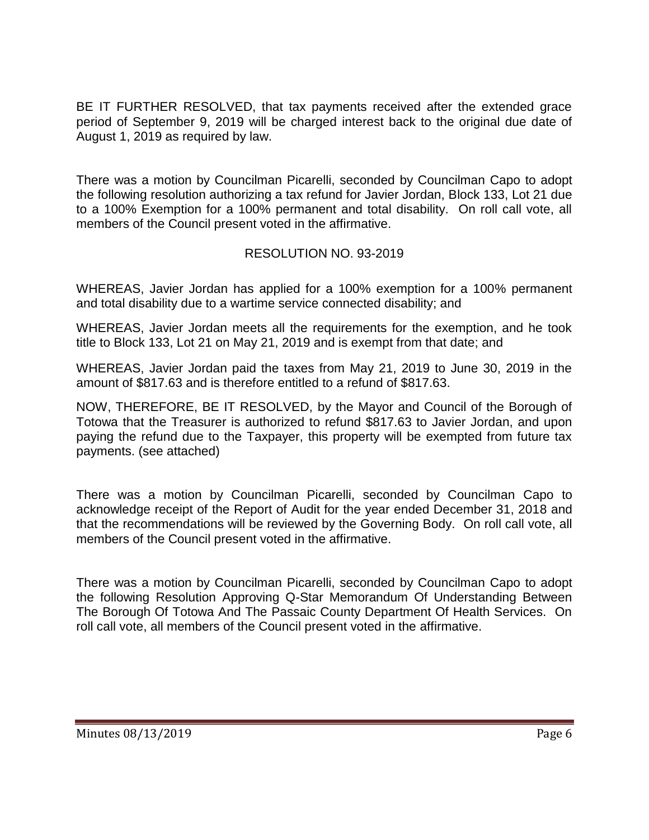BE IT FURTHER RESOLVED, that tax payments received after the extended grace period of September 9, 2019 will be charged interest back to the original due date of August 1, 2019 as required by law.

There was a motion by Councilman Picarelli, seconded by Councilman Capo to adopt the following resolution authorizing a tax refund for Javier Jordan, Block 133, Lot 21 due to a 100% Exemption for a 100% permanent and total disability. On roll call vote, all members of the Council present voted in the affirmative.

# RESOLUTION NO. 93-2019

WHEREAS, Javier Jordan has applied for a 100% exemption for a 100% permanent and total disability due to a wartime service connected disability; and

WHEREAS, Javier Jordan meets all the requirements for the exemption, and he took title to Block 133, Lot 21 on May 21, 2019 and is exempt from that date; and

WHEREAS, Javier Jordan paid the taxes from May 21, 2019 to June 30, 2019 in the amount of \$817.63 and is therefore entitled to a refund of \$817.63.

NOW, THEREFORE, BE IT RESOLVED, by the Mayor and Council of the Borough of Totowa that the Treasurer is authorized to refund \$817.63 to Javier Jordan, and upon paying the refund due to the Taxpayer, this property will be exempted from future tax payments. (see attached)

There was a motion by Councilman Picarelli, seconded by Councilman Capo to acknowledge receipt of the Report of Audit for the year ended December 31, 2018 and that the recommendations will be reviewed by the Governing Body. On roll call vote, all members of the Council present voted in the affirmative.

There was a motion by Councilman Picarelli, seconded by Councilman Capo to adopt the following Resolution Approving Q-Star Memorandum Of Understanding Between The Borough Of Totowa And The Passaic County Department Of Health Services. On roll call vote, all members of the Council present voted in the affirmative.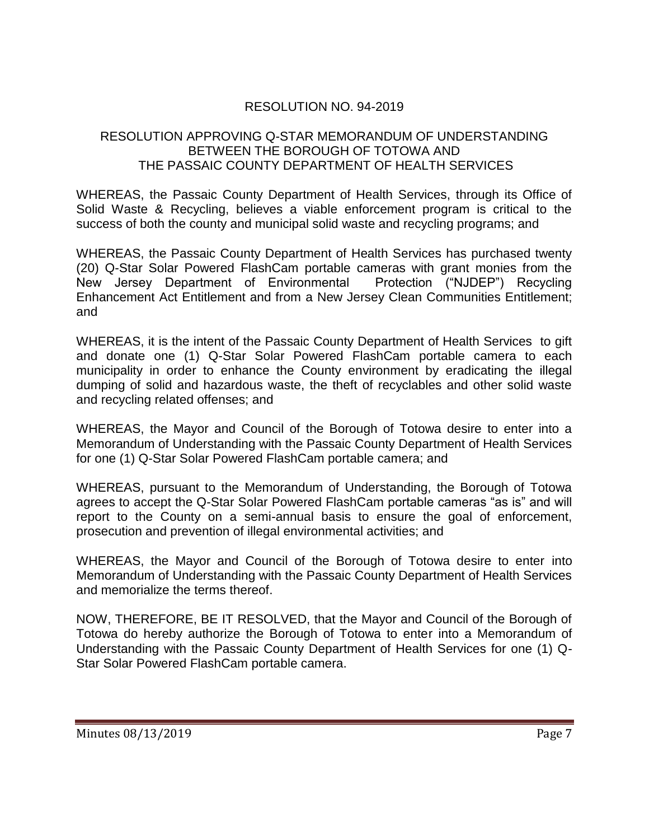# RESOLUTION NO. 94-2019

### RESOLUTION APPROVING Q-STAR MEMORANDUM OF UNDERSTANDING BETWEEN THE BOROUGH OF TOTOWA AND THE PASSAIC COUNTY DEPARTMENT OF HEALTH SERVICES

WHEREAS, the Passaic County Department of Health Services, through its Office of Solid Waste & Recycling, believes a viable enforcement program is critical to the success of both the county and municipal solid waste and recycling programs; and

WHEREAS, the Passaic County Department of Health Services has purchased twenty (20) Q-Star Solar Powered FlashCam portable cameras with grant monies from the New Jersey Department of Environmental Protection ("NJDEP") Recycling Enhancement Act Entitlement and from a New Jersey Clean Communities Entitlement; and

WHEREAS, it is the intent of the Passaic County Department of Health Services to gift and donate one (1) Q-Star Solar Powered FlashCam portable camera to each municipality in order to enhance the County environment by eradicating the illegal dumping of solid and hazardous waste, the theft of recyclables and other solid waste and recycling related offenses; and

WHEREAS, the Mayor and Council of the Borough of Totowa desire to enter into a Memorandum of Understanding with the Passaic County Department of Health Services for one (1) Q-Star Solar Powered FlashCam portable camera; and

WHEREAS, pursuant to the Memorandum of Understanding, the Borough of Totowa agrees to accept the Q-Star Solar Powered FlashCam portable cameras "as is" and will report to the County on a semi-annual basis to ensure the goal of enforcement, prosecution and prevention of illegal environmental activities; and

WHEREAS, the Mayor and Council of the Borough of Totowa desire to enter into Memorandum of Understanding with the Passaic County Department of Health Services and memorialize the terms thereof.

NOW, THEREFORE, BE IT RESOLVED, that the Mayor and Council of the Borough of Totowa do hereby authorize the Borough of Totowa to enter into a Memorandum of Understanding with the Passaic County Department of Health Services for one (1) Q-Star Solar Powered FlashCam portable camera.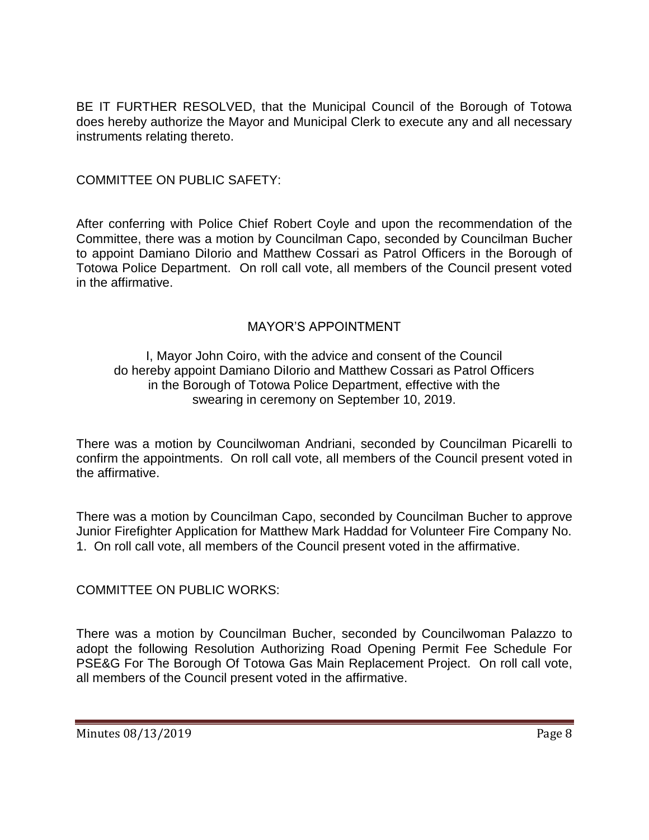BE IT FURTHER RESOLVED, that the Municipal Council of the Borough of Totowa does hereby authorize the Mayor and Municipal Clerk to execute any and all necessary instruments relating thereto.

# COMMITTEE ON PUBLIC SAFETY:

After conferring with Police Chief Robert Coyle and upon the recommendation of the Committee, there was a motion by Councilman Capo, seconded by Councilman Bucher to appoint Damiano DiIorio and Matthew Cossari as Patrol Officers in the Borough of Totowa Police Department. On roll call vote, all members of the Council present voted in the affirmative.

### MAYOR'S APPOINTMENT

I, Mayor John Coiro, with the advice and consent of the Council do hereby appoint Damiano DiIorio and Matthew Cossari as Patrol Officers in the Borough of Totowa Police Department, effective with the swearing in ceremony on September 10, 2019.

There was a motion by Councilwoman Andriani, seconded by Councilman Picarelli to confirm the appointments. On roll call vote, all members of the Council present voted in the affirmative.

There was a motion by Councilman Capo, seconded by Councilman Bucher to approve Junior Firefighter Application for Matthew Mark Haddad for Volunteer Fire Company No. 1. On roll call vote, all members of the Council present voted in the affirmative.

COMMITTEE ON PUBLIC WORKS:

There was a motion by Councilman Bucher, seconded by Councilwoman Palazzo to adopt the following Resolution Authorizing Road Opening Permit Fee Schedule For PSE&G For The Borough Of Totowa Gas Main Replacement Project. On roll call vote, all members of the Council present voted in the affirmative.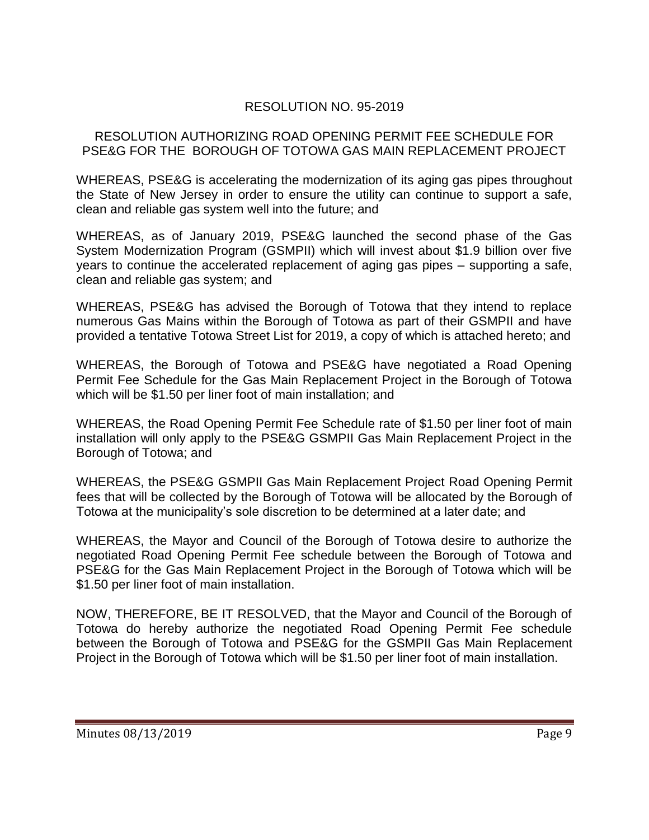# RESOLUTION NO. 95-2019

#### RESOLUTION AUTHORIZING ROAD OPENING PERMIT FEE SCHEDULE FOR PSE&G FOR THE BOROUGH OF TOTOWA GAS MAIN REPLACEMENT PROJECT

WHEREAS, PSE&G is accelerating the modernization of its aging gas pipes throughout the State of New Jersey in order to ensure the utility can continue to support a safe, clean and reliable gas system well into the future; and

WHEREAS, as of January 2019, PSE&G launched the second phase of the Gas System Modernization Program (GSMPII) which will invest about \$1.9 billion over five years to continue the accelerated replacement of aging gas pipes – supporting a safe, clean and reliable gas system; and

WHEREAS, PSE&G has advised the Borough of Totowa that they intend to replace numerous Gas Mains within the Borough of Totowa as part of their GSMPII and have provided a tentative Totowa Street List for 2019, a copy of which is attached hereto; and

WHEREAS, the Borough of Totowa and PSE&G have negotiated a Road Opening Permit Fee Schedule for the Gas Main Replacement Project in the Borough of Totowa which will be \$1.50 per liner foot of main installation; and

WHEREAS, the Road Opening Permit Fee Schedule rate of \$1.50 per liner foot of main installation will only apply to the PSE&G GSMPII Gas Main Replacement Project in the Borough of Totowa; and

WHEREAS, the PSE&G GSMPII Gas Main Replacement Project Road Opening Permit fees that will be collected by the Borough of Totowa will be allocated by the Borough of Totowa at the municipality's sole discretion to be determined at a later date; and

WHEREAS, the Mayor and Council of the Borough of Totowa desire to authorize the negotiated Road Opening Permit Fee schedule between the Borough of Totowa and PSE&G for the Gas Main Replacement Project in the Borough of Totowa which will be \$1.50 per liner foot of main installation.

NOW, THEREFORE, BE IT RESOLVED, that the Mayor and Council of the Borough of Totowa do hereby authorize the negotiated Road Opening Permit Fee schedule between the Borough of Totowa and PSE&G for the GSMPII Gas Main Replacement Project in the Borough of Totowa which will be \$1.50 per liner foot of main installation.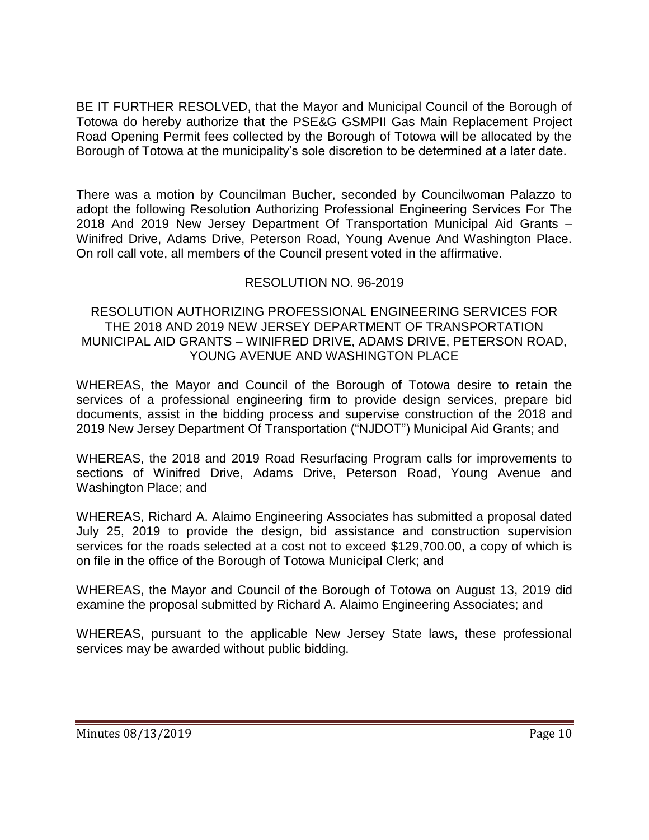BE IT FURTHER RESOLVED, that the Mayor and Municipal Council of the Borough of Totowa do hereby authorize that the PSE&G GSMPII Gas Main Replacement Project Road Opening Permit fees collected by the Borough of Totowa will be allocated by the Borough of Totowa at the municipality's sole discretion to be determined at a later date.

There was a motion by Councilman Bucher, seconded by Councilwoman Palazzo to adopt the following Resolution Authorizing Professional Engineering Services For The 2018 And 2019 New Jersey Department Of Transportation Municipal Aid Grants – Winifred Drive, Adams Drive, Peterson Road, Young Avenue And Washington Place. On roll call vote, all members of the Council present voted in the affirmative.

# RESOLUTION NO. 96-2019

#### RESOLUTION AUTHORIZING PROFESSIONAL ENGINEERING SERVICES FOR THE 2018 AND 2019 NEW JERSEY DEPARTMENT OF TRANSPORTATION MUNICIPAL AID GRANTS – WINIFRED DRIVE, ADAMS DRIVE, PETERSON ROAD, YOUNG AVENUE AND WASHINGTON PLACE

WHEREAS, the Mayor and Council of the Borough of Totowa desire to retain the services of a professional engineering firm to provide design services, prepare bid documents, assist in the bidding process and supervise construction of the 2018 and 2019 New Jersey Department Of Transportation ("NJDOT") Municipal Aid Grants; and

WHEREAS, the 2018 and 2019 Road Resurfacing Program calls for improvements to sections of Winifred Drive, Adams Drive, Peterson Road, Young Avenue and Washington Place; and

WHEREAS, Richard A. Alaimo Engineering Associates has submitted a proposal dated July 25, 2019 to provide the design, bid assistance and construction supervision services for the roads selected at a cost not to exceed \$129,700.00, a copy of which is on file in the office of the Borough of Totowa Municipal Clerk; and

WHEREAS, the Mayor and Council of the Borough of Totowa on August 13, 2019 did examine the proposal submitted by Richard A. Alaimo Engineering Associates; and

WHEREAS, pursuant to the applicable New Jersey State laws, these professional services may be awarded without public bidding.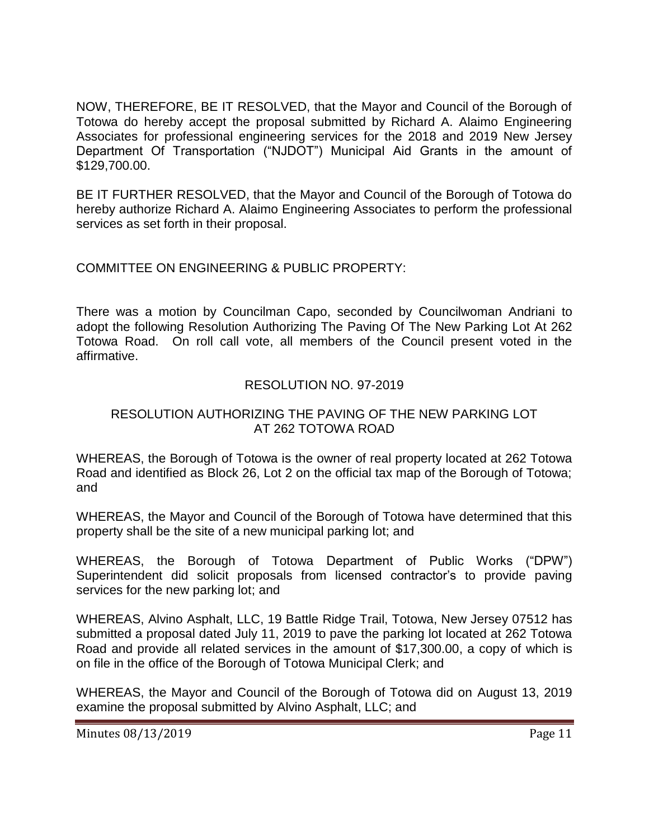NOW, THEREFORE, BE IT RESOLVED, that the Mayor and Council of the Borough of Totowa do hereby accept the proposal submitted by Richard A. Alaimo Engineering Associates for professional engineering services for the 2018 and 2019 New Jersey Department Of Transportation ("NJDOT") Municipal Aid Grants in the amount of \$129,700.00.

BE IT FURTHER RESOLVED, that the Mayor and Council of the Borough of Totowa do hereby authorize Richard A. Alaimo Engineering Associates to perform the professional services as set forth in their proposal.

# COMMITTEE ON ENGINEERING & PUBLIC PROPERTY:

There was a motion by Councilman Capo, seconded by Councilwoman Andriani to adopt the following Resolution Authorizing The Paving Of The New Parking Lot At 262 Totowa Road. On roll call vote, all members of the Council present voted in the affirmative.

# RESOLUTION NO. 97-2019

# RESOLUTION AUTHORIZING THE PAVING OF THE NEW PARKING LOT AT 262 TOTOWA ROAD

WHEREAS, the Borough of Totowa is the owner of real property located at 262 Totowa Road and identified as Block 26, Lot 2 on the official tax map of the Borough of Totowa; and

WHEREAS, the Mayor and Council of the Borough of Totowa have determined that this property shall be the site of a new municipal parking lot; and

WHEREAS, the Borough of Totowa Department of Public Works ("DPW") Superintendent did solicit proposals from licensed contractor's to provide paving services for the new parking lot; and

WHEREAS, Alvino Asphalt, LLC, 19 Battle Ridge Trail, Totowa, New Jersey 07512 has submitted a proposal dated July 11, 2019 to pave the parking lot located at 262 Totowa Road and provide all related services in the amount of \$17,300.00, a copy of which is on file in the office of the Borough of Totowa Municipal Clerk; and

WHEREAS, the Mayor and Council of the Borough of Totowa did on August 13, 2019 examine the proposal submitted by Alvino Asphalt, LLC; and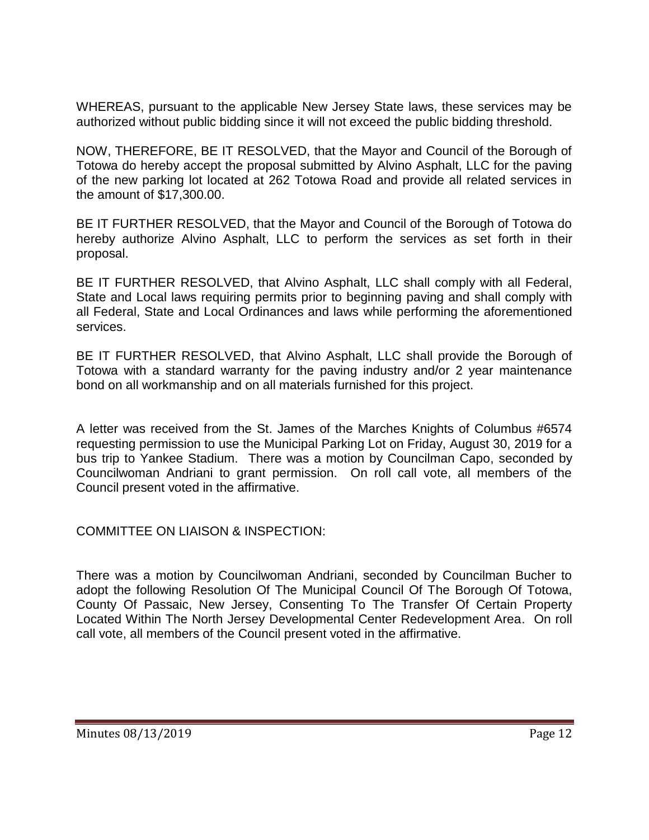WHEREAS, pursuant to the applicable New Jersey State laws, these services may be authorized without public bidding since it will not exceed the public bidding threshold.

NOW, THEREFORE, BE IT RESOLVED, that the Mayor and Council of the Borough of Totowa do hereby accept the proposal submitted by Alvino Asphalt, LLC for the paving of the new parking lot located at 262 Totowa Road and provide all related services in the amount of \$17,300.00.

BE IT FURTHER RESOLVED, that the Mayor and Council of the Borough of Totowa do hereby authorize Alvino Asphalt, LLC to perform the services as set forth in their proposal.

BE IT FURTHER RESOLVED, that Alvino Asphalt, LLC shall comply with all Federal, State and Local laws requiring permits prior to beginning paving and shall comply with all Federal, State and Local Ordinances and laws while performing the aforementioned services.

BE IT FURTHER RESOLVED, that Alvino Asphalt, LLC shall provide the Borough of Totowa with a standard warranty for the paving industry and/or 2 year maintenance bond on all workmanship and on all materials furnished for this project.

A letter was received from the St. James of the Marches Knights of Columbus #6574 requesting permission to use the Municipal Parking Lot on Friday, August 30, 2019 for a bus trip to Yankee Stadium. There was a motion by Councilman Capo, seconded by Councilwoman Andriani to grant permission. On roll call vote, all members of the Council present voted in the affirmative.

# COMMITTEE ON LIAISON & INSPECTION:

There was a motion by Councilwoman Andriani, seconded by Councilman Bucher to adopt the following Resolution Of The Municipal Council Of The Borough Of Totowa, County Of Passaic, New Jersey, Consenting To The Transfer Of Certain Property Located Within The North Jersey Developmental Center Redevelopment Area. On roll call vote, all members of the Council present voted in the affirmative.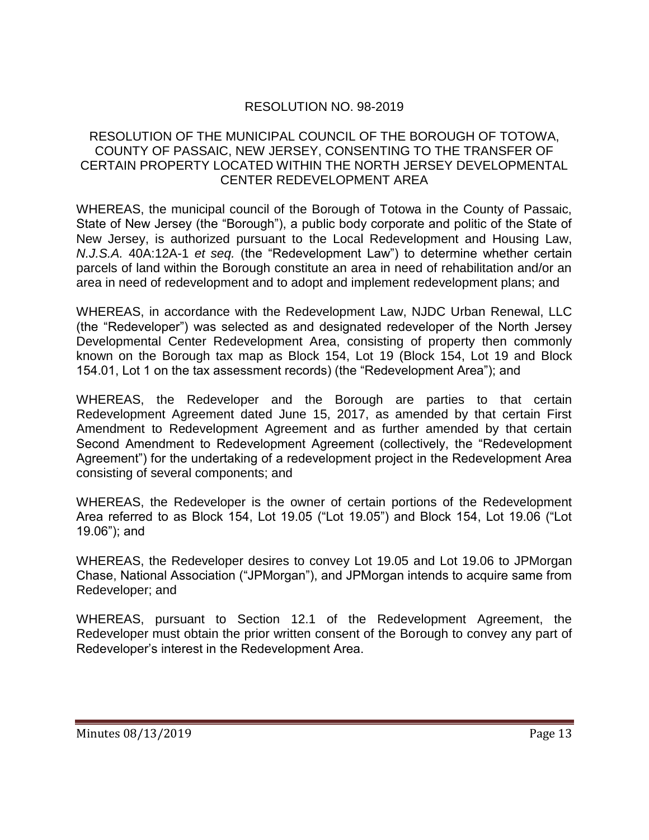# RESOLUTION NO. 98-2019

#### RESOLUTION OF THE MUNICIPAL COUNCIL OF THE BOROUGH OF TOTOWA, COUNTY OF PASSAIC, NEW JERSEY, CONSENTING TO THE TRANSFER OF CERTAIN PROPERTY LOCATED WITHIN THE NORTH JERSEY DEVELOPMENTAL CENTER REDEVELOPMENT AREA

WHEREAS, the municipal council of the Borough of Totowa in the County of Passaic, State of New Jersey (the "Borough"), a public body corporate and politic of the State of New Jersey, is authorized pursuant to the Local Redevelopment and Housing Law, *N.J.S.A.* 40A:12A-1 *et seq.* (the "Redevelopment Law") to determine whether certain parcels of land within the Borough constitute an area in need of rehabilitation and/or an area in need of redevelopment and to adopt and implement redevelopment plans; and

WHEREAS, in accordance with the Redevelopment Law, NJDC Urban Renewal, LLC (the "Redeveloper") was selected as and designated redeveloper of the North Jersey Developmental Center Redevelopment Area, consisting of property then commonly known on the Borough tax map as Block 154, Lot 19 (Block 154, Lot 19 and Block 154.01, Lot 1 on the tax assessment records) (the "Redevelopment Area"); and

WHEREAS, the Redeveloper and the Borough are parties to that certain Redevelopment Agreement dated June 15, 2017, as amended by that certain First Amendment to Redevelopment Agreement and as further amended by that certain Second Amendment to Redevelopment Agreement (collectively, the "Redevelopment Agreement") for the undertaking of a redevelopment project in the Redevelopment Area consisting of several components; and

WHEREAS, the Redeveloper is the owner of certain portions of the Redevelopment Area referred to as Block 154, Lot 19.05 ("Lot 19.05") and Block 154, Lot 19.06 ("Lot 19.06"); and

WHEREAS, the Redeveloper desires to convey Lot 19.05 and Lot 19.06 to JPMorgan Chase, National Association ("JPMorgan"), and JPMorgan intends to acquire same from Redeveloper; and

WHEREAS, pursuant to Section 12.1 of the Redevelopment Agreement, the Redeveloper must obtain the prior written consent of the Borough to convey any part of Redeveloper's interest in the Redevelopment Area.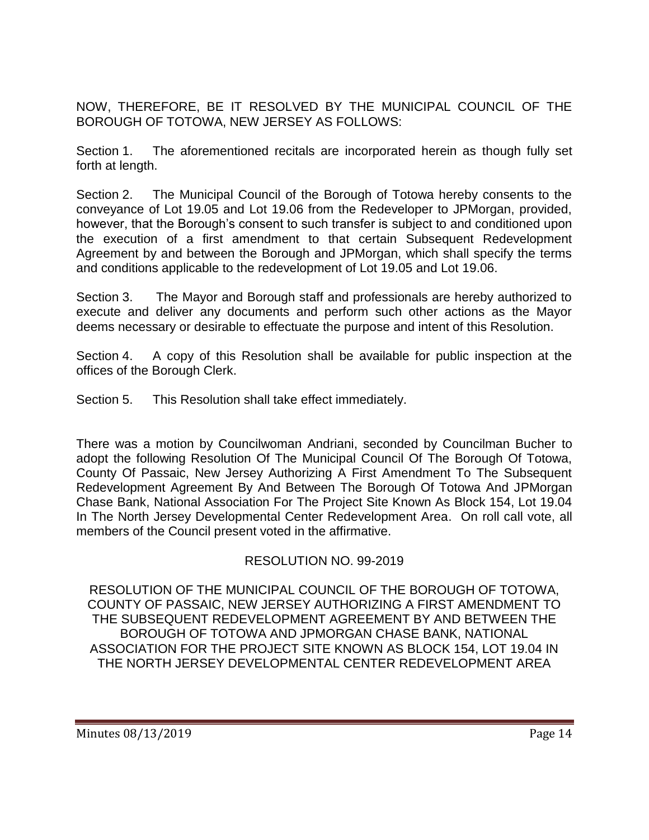NOW, THEREFORE, BE IT RESOLVED BY THE MUNICIPAL COUNCIL OF THE BOROUGH OF TOTOWA, NEW JERSEY AS FOLLOWS:

Section 1. The aforementioned recitals are incorporated herein as though fully set forth at length.

Section 2. The Municipal Council of the Borough of Totowa hereby consents to the conveyance of Lot 19.05 and Lot 19.06 from the Redeveloper to JPMorgan, provided, however, that the Borough's consent to such transfer is subject to and conditioned upon the execution of a first amendment to that certain Subsequent Redevelopment Agreement by and between the Borough and JPMorgan, which shall specify the terms and conditions applicable to the redevelopment of Lot 19.05 and Lot 19.06.

Section 3. The Mayor and Borough staff and professionals are hereby authorized to execute and deliver any documents and perform such other actions as the Mayor deems necessary or desirable to effectuate the purpose and intent of this Resolution.

Section 4. A copy of this Resolution shall be available for public inspection at the offices of the Borough Clerk.

Section 5. This Resolution shall take effect immediately.

There was a motion by Councilwoman Andriani, seconded by Councilman Bucher to adopt the following Resolution Of The Municipal Council Of The Borough Of Totowa, County Of Passaic, New Jersey Authorizing A First Amendment To The Subsequent Redevelopment Agreement By And Between The Borough Of Totowa And JPMorgan Chase Bank, National Association For The Project Site Known As Block 154, Lot 19.04 In The North Jersey Developmental Center Redevelopment Area. On roll call vote, all members of the Council present voted in the affirmative.

# RESOLUTION NO. 99-2019

RESOLUTION OF THE MUNICIPAL COUNCIL OF THE BOROUGH OF TOTOWA, COUNTY OF PASSAIC, NEW JERSEY AUTHORIZING A FIRST AMENDMENT TO THE SUBSEQUENT REDEVELOPMENT AGREEMENT BY AND BETWEEN THE BOROUGH OF TOTOWA AND JPMORGAN CHASE BANK, NATIONAL ASSOCIATION FOR THE PROJECT SITE KNOWN AS BLOCK 154, LOT 19.04 IN THE NORTH JERSEY DEVELOPMENTAL CENTER REDEVELOPMENT AREA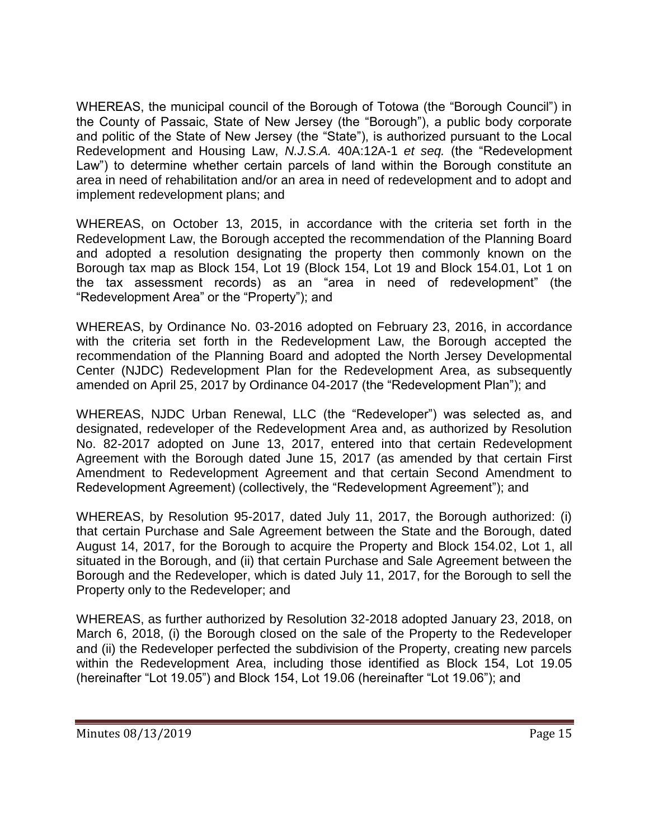WHEREAS, the municipal council of the Borough of Totowa (the "Borough Council") in the County of Passaic, State of New Jersey (the "Borough"), a public body corporate and politic of the State of New Jersey (the "State"), is authorized pursuant to the Local Redevelopment and Housing Law, *N.J.S.A.* 40A:12A-1 *et seq.* (the "Redevelopment Law") to determine whether certain parcels of land within the Borough constitute an area in need of rehabilitation and/or an area in need of redevelopment and to adopt and implement redevelopment plans; and

WHEREAS, on October 13, 2015, in accordance with the criteria set forth in the Redevelopment Law, the Borough accepted the recommendation of the Planning Board and adopted a resolution designating the property then commonly known on the Borough tax map as Block 154, Lot 19 (Block 154, Lot 19 and Block 154.01, Lot 1 on the tax assessment records) as an "area in need of redevelopment" (the "Redevelopment Area" or the "Property"); and

WHEREAS, by Ordinance No. 03-2016 adopted on February 23, 2016, in accordance with the criteria set forth in the Redevelopment Law, the Borough accepted the recommendation of the Planning Board and adopted the North Jersey Developmental Center (NJDC) Redevelopment Plan for the Redevelopment Area, as subsequently amended on April 25, 2017 by Ordinance 04-2017 (the "Redevelopment Plan"); and

WHEREAS, NJDC Urban Renewal, LLC (the "Redeveloper") was selected as, and designated, redeveloper of the Redevelopment Area and, as authorized by Resolution No. 82-2017 adopted on June 13, 2017, entered into that certain Redevelopment Agreement with the Borough dated June 15, 2017 (as amended by that certain First Amendment to Redevelopment Agreement and that certain Second Amendment to Redevelopment Agreement) (collectively, the "Redevelopment Agreement"); and

WHEREAS, by Resolution 95-2017, dated July 11, 2017, the Borough authorized: (i) that certain Purchase and Sale Agreement between the State and the Borough, dated August 14, 2017, for the Borough to acquire the Property and Block 154.02, Lot 1, all situated in the Borough, and (ii) that certain Purchase and Sale Agreement between the Borough and the Redeveloper, which is dated July 11, 2017, for the Borough to sell the Property only to the Redeveloper; and

WHEREAS, as further authorized by Resolution 32-2018 adopted January 23, 2018, on March 6, 2018, (i) the Borough closed on the sale of the Property to the Redeveloper and (ii) the Redeveloper perfected the subdivision of the Property, creating new parcels within the Redevelopment Area, including those identified as Block 154, Lot 19.05 (hereinafter "Lot 19.05") and Block 154, Lot 19.06 (hereinafter "Lot 19.06"); and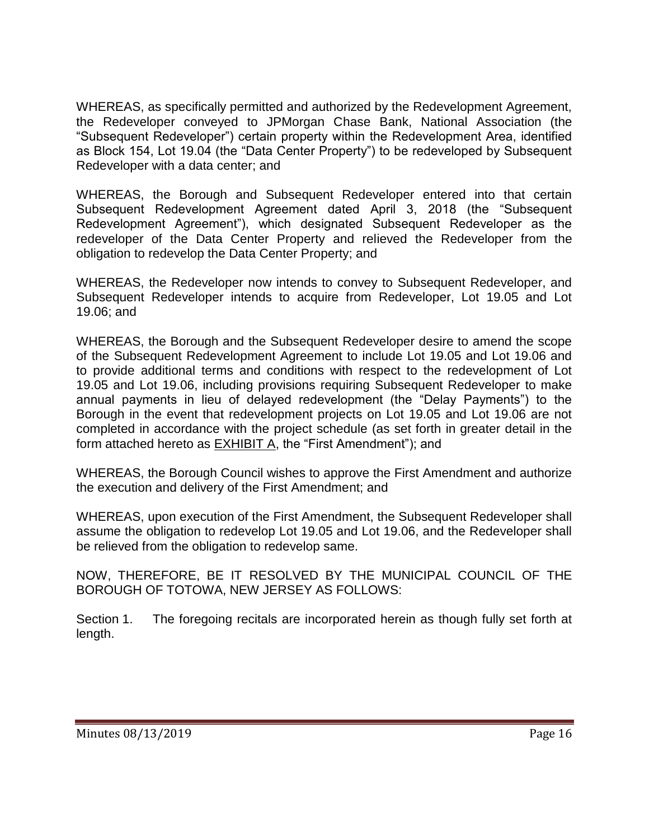WHEREAS, as specifically permitted and authorized by the Redevelopment Agreement, the Redeveloper conveyed to JPMorgan Chase Bank, National Association (the "Subsequent Redeveloper") certain property within the Redevelopment Area, identified as Block 154, Lot 19.04 (the "Data Center Property") to be redeveloped by Subsequent Redeveloper with a data center; and

WHEREAS, the Borough and Subsequent Redeveloper entered into that certain Subsequent Redevelopment Agreement dated April 3, 2018 (the "Subsequent Redevelopment Agreement"), which designated Subsequent Redeveloper as the redeveloper of the Data Center Property and relieved the Redeveloper from the obligation to redevelop the Data Center Property; and

WHEREAS, the Redeveloper now intends to convey to Subsequent Redeveloper, and Subsequent Redeveloper intends to acquire from Redeveloper, Lot 19.05 and Lot 19.06; and

WHEREAS, the Borough and the Subsequent Redeveloper desire to amend the scope of the Subsequent Redevelopment Agreement to include Lot 19.05 and Lot 19.06 and to provide additional terms and conditions with respect to the redevelopment of Lot 19.05 and Lot 19.06, including provisions requiring Subsequent Redeveloper to make annual payments in lieu of delayed redevelopment (the "Delay Payments") to the Borough in the event that redevelopment projects on Lot 19.05 and Lot 19.06 are not completed in accordance with the project schedule (as set forth in greater detail in the form attached hereto as EXHIBIT A, the "First Amendment"); and

WHEREAS, the Borough Council wishes to approve the First Amendment and authorize the execution and delivery of the First Amendment; and

WHEREAS, upon execution of the First Amendment, the Subsequent Redeveloper shall assume the obligation to redevelop Lot 19.05 and Lot 19.06, and the Redeveloper shall be relieved from the obligation to redevelop same.

NOW, THEREFORE, BE IT RESOLVED BY THE MUNICIPAL COUNCIL OF THE BOROUGH OF TOTOWA, NEW JERSEY AS FOLLOWS:

Section 1. The foregoing recitals are incorporated herein as though fully set forth at length.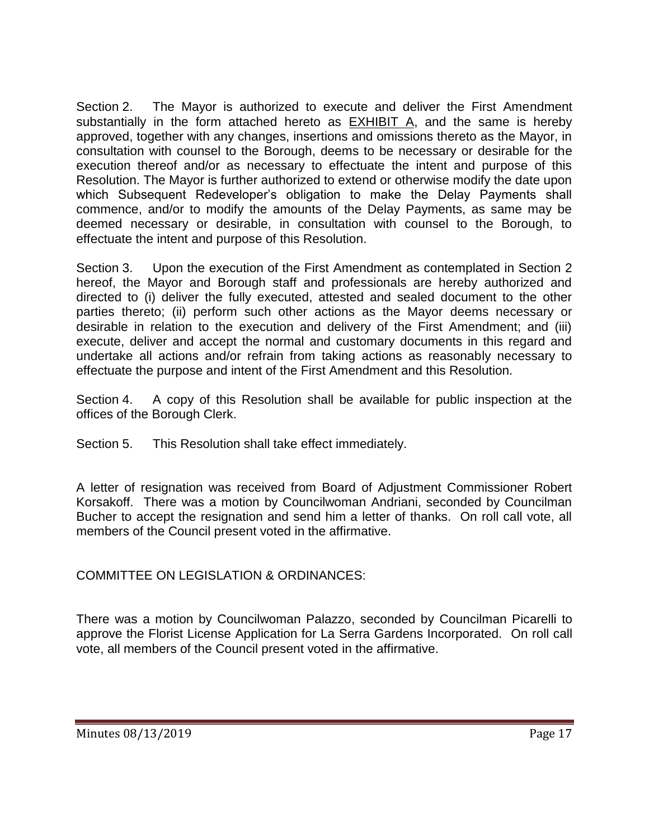Section 2. The Mayor is authorized to execute and deliver the First Amendment substantially in the form attached hereto as EXHIBIT A, and the same is hereby approved, together with any changes, insertions and omissions thereto as the Mayor, in consultation with counsel to the Borough, deems to be necessary or desirable for the execution thereof and/or as necessary to effectuate the intent and purpose of this Resolution. The Mayor is further authorized to extend or otherwise modify the date upon which Subsequent Redeveloper's obligation to make the Delay Payments shall commence, and/or to modify the amounts of the Delay Payments, as same may be deemed necessary or desirable, in consultation with counsel to the Borough, to effectuate the intent and purpose of this Resolution.

Section 3. Upon the execution of the First Amendment as contemplated in Section 2 hereof, the Mayor and Borough staff and professionals are hereby authorized and directed to (i) deliver the fully executed, attested and sealed document to the other parties thereto; (ii) perform such other actions as the Mayor deems necessary or desirable in relation to the execution and delivery of the First Amendment; and (iii) execute, deliver and accept the normal and customary documents in this regard and undertake all actions and/or refrain from taking actions as reasonably necessary to effectuate the purpose and intent of the First Amendment and this Resolution.

Section 4. A copy of this Resolution shall be available for public inspection at the offices of the Borough Clerk.

Section 5. This Resolution shall take effect immediately.

A letter of resignation was received from Board of Adjustment Commissioner Robert Korsakoff. There was a motion by Councilwoman Andriani, seconded by Councilman Bucher to accept the resignation and send him a letter of thanks. On roll call vote, all members of the Council present voted in the affirmative.

COMMITTEE ON LEGISLATION & ORDINANCES:

There was a motion by Councilwoman Palazzo, seconded by Councilman Picarelli to approve the Florist License Application for La Serra Gardens Incorporated. On roll call vote, all members of the Council present voted in the affirmative.